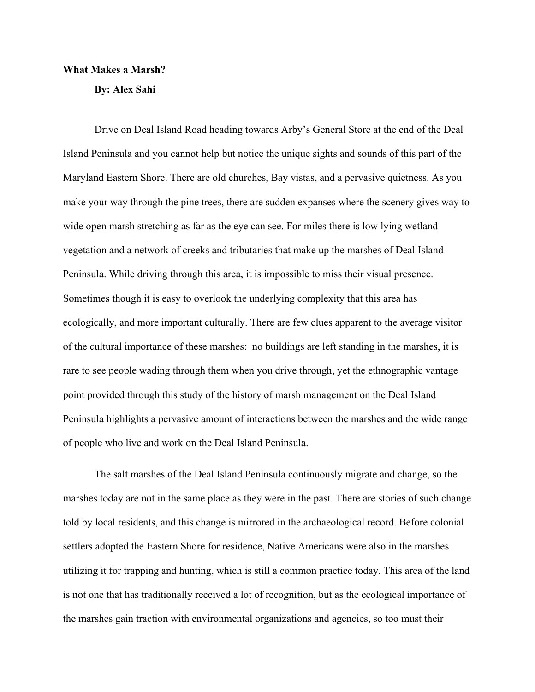## **What Makes a Marsh?**

**By: Alex Sahi**

Drive on Deal Island Road heading towards Arby's General Store at the end of the Deal Island Peninsula and you cannot help but notice the unique sights and sounds of this part of the Maryland Eastern Shore. There are old churches, Bay vistas, and a pervasive quietness. As you make your way through the pine trees, there are sudden expanses where the scenery gives way to wide open marsh stretching as far as the eye can see. For miles there is low lying wetland vegetation and a network of creeks and tributaries that make up the marshes of Deal Island Peninsula. While driving through this area, it is impossible to miss their visual presence. Sometimes though it is easy to overlook the underlying complexity that this area has ecologically, and more important culturally. There are few clues apparent to the average visitor of the cultural importance of these marshes: no buildings are left standing in the marshes, it is rare to see people wading through them when you drive through, yet the ethnographic vantage point provided through this study of the history of marsh management on the Deal Island Peninsula highlights a pervasive amount of interactions between the marshes and the wide range of people who live and work on the Deal Island Peninsula.

The salt marshes of the Deal Island Peninsula continuously migrate and change, so the marshes today are not in the same place as they were in the past. There are stories of such change told by local residents, and this change is mirrored in the archaeological record. Before colonial settlers adopted the Eastern Shore for residence, Native Americans were also in the marshes utilizing it for trapping and hunting, which is still a common practice today. This area of the land is not one that has traditionally received a lot of recognition, but as the ecological importance of the marshes gain traction with environmental organizations and agencies, so too must their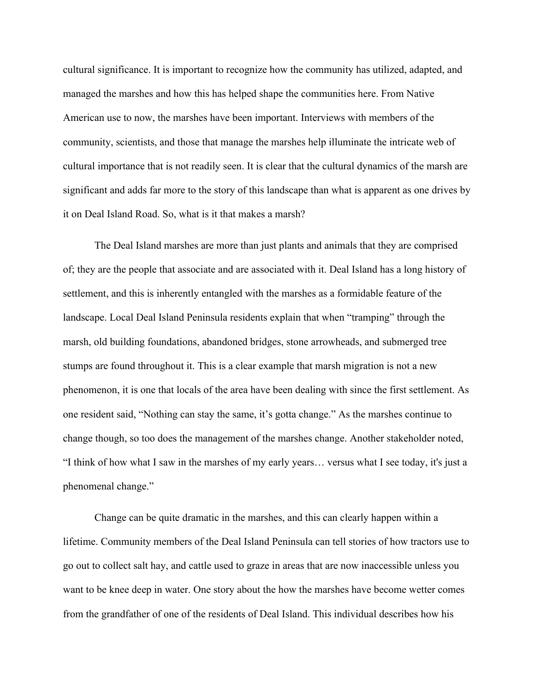cultural significance. It is important to recognize how the community has utilized, adapted, and managed the marshes and how this has helped shape the communities here. From Native American use to now, the marshes have been important. Interviews with members of the community, scientists, and those that manage the marshes help illuminate the intricate web of cultural importance that is not readily seen. It is clear that the cultural dynamics of the marsh are significant and adds far more to the story of this landscape than what is apparent as one drives by it on Deal Island Road. So, what is it that makes a marsh?

The Deal Island marshes are more than just plants and animals that they are comprised of; they are the people that associate and are associated with it. Deal Island has a long history of settlement, and this is inherently entangled with the marshes as a formidable feature of the landscape. Local Deal Island Peninsula residents explain that when "tramping" through the marsh, old building foundations, abandoned bridges, stone arrowheads, and submerged tree stumps are found throughout it. This is a clear example that marsh migration is not a new phenomenon, it is one that locals of the area have been dealing with since the first settlement. As one resident said, "Nothing can stay the same, it's gotta change." As the marshes continue to change though, so too does the management of the marshes change. Another stakeholder noted, "I think of how what I saw in the marshes of my early years… versus what I see today, it's just a phenomenal change."

Change can be quite dramatic in the marshes, and this can clearly happen within a lifetime. Community members of the Deal Island Peninsula can tell stories of how tractors use to go out to collect salt hay, and cattle used to graze in areas that are now inaccessible unless you want to be knee deep in water. One story about the how the marshes have become wetter comes from the grandfather of one of the residents of Deal Island. This individual describes how his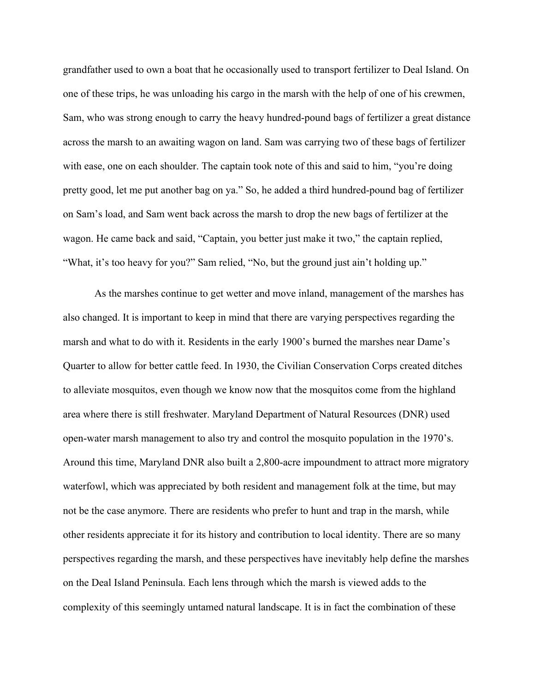grandfather used to own a boat that he occasionally used to transport fertilizer to Deal Island. On one of these trips, he was unloading his cargo in the marsh with the help of one of his crewmen, Sam, who was strong enough to carry the heavy hundred-pound bags of fertilizer a great distance across the marsh to an awaiting wagon on land. Sam was carrying two of these bags of fertilizer with ease, one on each shoulder. The captain took note of this and said to him, "you're doing pretty good, let me put another bag on ya." So, he added a third hundred-pound bag of fertilizer on Sam's load, and Sam went back across the marsh to drop the new bags of fertilizer at the wagon. He came back and said, "Captain, you better just make it two," the captain replied, "What, it's too heavy for you?" Sam relied, "No, but the ground just ain't holding up."

As the marshes continue to get wetter and move inland, management of the marshes has also changed. It is important to keep in mind that there are varying perspectives regarding the marsh and what to do with it. Residents in the early 1900's burned the marshes near Dame's Quarter to allow for better cattle feed. In 1930, the Civilian Conservation Corps created ditches to alleviate mosquitos, even though we know now that the mosquitos come from the highland area where there is still freshwater. Maryland Department of Natural Resources (DNR) used open-water marsh management to also try and control the mosquito population in the 1970's. Around this time, Maryland DNR also built a 2,800-acre impoundment to attract more migratory waterfowl, which was appreciated by both resident and management folk at the time, but may not be the case anymore. There are residents who prefer to hunt and trap in the marsh, while other residents appreciate it for its history and contribution to local identity. There are so many perspectives regarding the marsh, and these perspectives have inevitably help define the marshes on the Deal Island Peninsula. Each lens through which the marsh is viewed adds to the complexity of this seemingly untamed natural landscape. It is in fact the combination of these